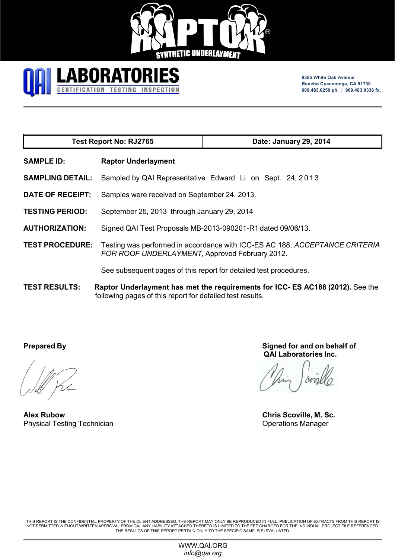



**8385 White Oak Avenue Rancho Cucamonga, CA 91730 909.483.0250 ph. | 909.483.0336 fx.**

| <b>Test Report No: RJ2765</b> |                                                                                                                               | Date: January 29, 2014                                                         |  |  |
|-------------------------------|-------------------------------------------------------------------------------------------------------------------------------|--------------------------------------------------------------------------------|--|--|
| <b>SAMPLE ID:</b>             | <b>Raptor Underlayment</b>                                                                                                    |                                                                                |  |  |
| <b>SAMPLING DETAIL:</b>       |                                                                                                                               | Sampled by QAI Representative Edward Li on Sept. 24, 2013                      |  |  |
| <b>DATE OF RECEIPT:</b>       | Samples were received on September 24, 2013.                                                                                  |                                                                                |  |  |
| <b>TESTING PERIOD:</b>        | September 25, 2013 through January 29, 2014                                                                                   |                                                                                |  |  |
| <b>AUTHORIZATION:</b>         | Signed QAI Test Proposals MB-2013-090201-R1 dated 09/06/13.                                                                   |                                                                                |  |  |
| <b>TEST PROCEDURE:</b>        | Testing was performed in accordance with ICC-ES AC 188, ACCEPTANCE CRITERIA<br>FOR ROOF UNDERLAYMENT, Approved February 2012. |                                                                                |  |  |
|                               |                                                                                                                               | See subsequent pages of this report for detailed test procedures.              |  |  |
| <b>TEST RESULTS:</b>          | following pages of this report for detailed test results.                                                                     | Raptor Underlayment has met the requirements for ICC- ES AC188 (2012). See the |  |  |

**Alex Rubow Chris Scoville, M. Sc.** Physical Testing Technician **Operations Manager** Operations Manager

**Prepared By Signed for and on behalf of QAI Laboratories Inc.**

THIS REPORT IS THE CONFIDENTIAL PROPERTY OF THE CLIENT ADDRESSED. THE REPORT MAY ONLY BE REPRODUCED IN FULL. PUBLICATION OF EXTRACTS FROM THIS REPORT IS<br>NOT PERMITTED WITHOUT WRITTEN APPROVAL FROM QAI. ANY LIABILITY ATTACH

WWW.QAI.ORG *info@qai.org*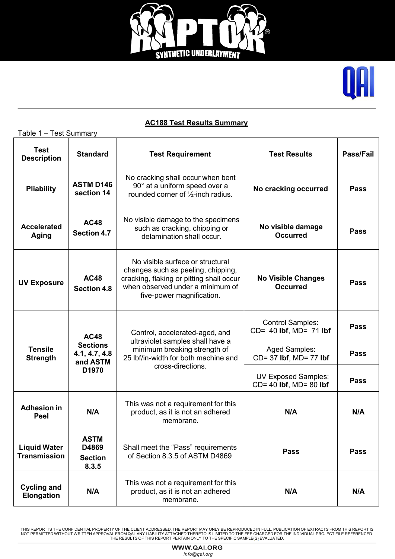



# **AC188 Test Results Summary**

| Table 1 - Test Summary                     |                                                                      |                                                                                                                                                                                     |                                                      |             |
|--------------------------------------------|----------------------------------------------------------------------|-------------------------------------------------------------------------------------------------------------------------------------------------------------------------------------|------------------------------------------------------|-------------|
| <b>Test</b><br><b>Description</b>          | <b>Standard</b>                                                      | <b>Test Requirement</b>                                                                                                                                                             | <b>Test Results</b>                                  | Pass/Fail   |
| <b>Pliability</b>                          | <b>ASTM D146</b><br>section 14                                       | No cracking shall occur when bent<br>90° at a uniform speed over a<br>rounded corner of $\frac{1}{2}$ -inch radius.                                                                 | No cracking occurred                                 | <b>Pass</b> |
| <b>Accelerated</b><br>Aging                | <b>AC48</b><br><b>Section 4.7</b>                                    | No visible damage to the specimens<br>such as cracking, chipping or<br>delamination shall occur.                                                                                    | No visible damage<br><b>Occurred</b>                 | <b>Pass</b> |
| <b>UV Exposure</b>                         | <b>AC48</b><br><b>Section 4.8</b>                                    | No visible surface or structural<br>changes such as peeling, chipping,<br>cracking, flaking or pitting shall occur<br>when observed under a minimum of<br>five-power magnification. | <b>No Visible Changes</b><br><b>Occurred</b>         | <b>Pass</b> |
| <b>Tensile</b><br><b>Strength</b>          | <b>AC48</b><br><b>Sections</b><br>4.1, 4.7, 4.8<br>and ASTM<br>D1970 | Control, accelerated-aged, and                                                                                                                                                      | <b>Control Samples:</b><br>CD= 40 lbf, MD= 71 lbf    | <b>Pass</b> |
|                                            |                                                                      | ultraviolet samples shall have a<br>minimum breaking strength of<br>25 lbf/in-width for both machine and                                                                            | Aged Samples:<br>CD= 37 lbf, MD= 77 lbf              | <b>Pass</b> |
|                                            |                                                                      | cross-directions.                                                                                                                                                                   | <b>UV Exposed Samples:</b><br>CD= 40 lbf, MD= 80 lbf | <b>Pass</b> |
| <b>Adhesion in</b><br>Peel                 | N/A                                                                  | This was not a requirement for this<br>product, as it is not an adhered<br>N/A<br>membrane.                                                                                         |                                                      | N/A         |
| <b>Liquid Water</b><br><b>Transmission</b> | <b>ASTM</b><br>D4869<br><b>Section</b><br>8.3.5                      | Shall meet the "Pass" requirements<br><b>Pass</b><br>of Section 8.3.5 of ASTM D4869                                                                                                 |                                                      | <b>Pass</b> |
| <b>Cycling and</b><br><b>Elongation</b>    | N/A                                                                  | This was not a requirement for this<br>product, as it is not an adhered<br>membrane.                                                                                                | N/A<br>N/A                                           |             |

THIS REPORT IS THE CONFIDENTIAL PROPERTY OF THE CLIENT ADDRESSED. THE REPORT MAY ONLY BE REPRODUCED IN FULL. PUBLICATION OF EXTRACTS FROM THIS REPORT IS<br>NOT PERMITTED WITHOUT WRITTEN APPROVAL FROM QAI. ANY LIABILITY ATTACH

WWW.QAI.ORG info@qai.org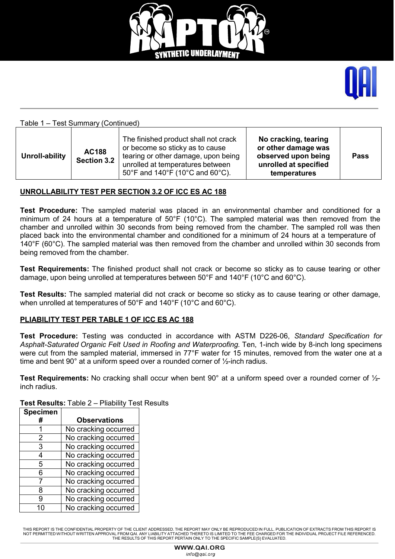



### Table 1 – Test Summary (Continued)

| Unroll-ability | <b>AC188</b><br><b>Section 3.2</b> | The finished product shall not crack<br>or become so sticky as to cause<br>tearing or other damage, upon being<br>unrolled at temperatures between<br>50°F and 140°F (10°C and 60°C). | No cracking, tearing<br>or other damage was<br>observed upon being<br>unrolled at specified<br>temperatures | <b>Pass</b> |
|----------------|------------------------------------|---------------------------------------------------------------------------------------------------------------------------------------------------------------------------------------|-------------------------------------------------------------------------------------------------------------|-------------|
|----------------|------------------------------------|---------------------------------------------------------------------------------------------------------------------------------------------------------------------------------------|-------------------------------------------------------------------------------------------------------------|-------------|

### **UNROLLABILITY TEST PER SECTION 3.2 OF ICC ES AC 188**

**Test Procedure:** The sampled material was placed in an environmental chamber and conditioned for a minimum of 24 hours at a temperature of 50°F (10°C). The sampled material was then removed from the chamber and unrolled within 30 seconds from being removed from the chamber. The sampled roll was then placed back into the environmental chamber and conditioned for a minimum of 24 hours at a temperature of 140°F (60°C). The sampled material was then removed from the chamber and unrolled within 30 seconds from being removed from the chamber.

**Test Requirements:** The finished product shall not crack or become so sticky as to cause tearing or other damage, upon being unrolled at temperatures between 50°F and 140°F (10°C and 60°C).

**Test Results:** The sampled material did not crack or become so sticky as to cause tearing or other damage, when unrolled at temperatures of 50°F and 140°F (10°C and 60°C).

### **PLIABILITY TEST PER TABLE 1 OF ICC ES AC 188**

**Test Procedure:** Testing was conducted in accordance with ASTM D226-06, *Standard Specification for Asphalt-Saturated Organic Felt Used in Roofing and Waterproofing.* Ten, 1-inch wide by 8-inch long specimens were cut from the sampled material, immersed in 77°F water for 15 minutes, removed from the water one at a time and bent 90 $^{\circ}$  at a uniform speed over a rounded corner of  $\frac{1}{2}$ -inch radius.

**Test Requirements:** No cracking shall occur when bent 90° at a uniform speed over a rounded corner of ½ inch radius.

| <b>Specimen</b> |                      |
|-----------------|----------------------|
| #               | <b>Observations</b>  |
|                 | No cracking occurred |
| 2               | No cracking occurred |
| 3               | No cracking occurred |
| 4               | No cracking occurred |
| 5               | No cracking occurred |
| 6               | No cracking occurred |
|                 | No cracking occurred |
| 8               | No cracking occurred |
| g               | No cracking occurred |
|                 | No cracking occurred |

**Test Results:** Table 2 – Pliability Test Results

HIS REPORT IS THE CONFIDENTIAL PROPERTY OF THE CLIENT ADDRESSED. THE REPORT MAY ONLY BE REPRODUCED IN FULL. PUBLICATION OF EXTRACTS FROM THIS REPORT IS NOT PERMITTED WITHOUT WRITTEN APPROVAL FROM QAI. ANY LIABILITY ATTACHED THERETO IS LIMITED TO THE FEE CHARGED FOR THE INDIVIDUAL PROJECT FILE REFERENCED. THE RESULTS OF THIS REPORT PERTAIN ONLY TO THE SPECIFIC SAMPLE(S) EVALUATED.

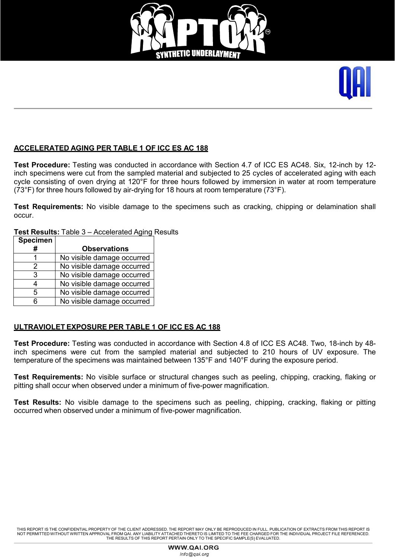



### **ACCELERATED AGING PER TABLE 1 OF ICC ES AC 188**

**Test Procedure:** Testing was conducted in accordance with Section 4.7 of ICC ES AC48. Six, 12-inch by 12 inch specimens were cut from the sampled material and subjected to 25 cycles of accelerated aging with each cycle consisting of oven drying at 120°F for three hours followed by immersion in water at room temperature (73°F) for three hours followed by air-drying for 18 hours at room temperature (73°F).

**Test Requirements:** No visible damage to the specimens such as cracking, chipping or delamination shall occur.

**Test Results:** Table 3 – Accelerated Aging Results

| <b>Specimen</b> |                            |
|-----------------|----------------------------|
| #               | <b>Observations</b>        |
|                 | No visible damage occurred |
| 2               | No visible damage occurred |
| 3               | No visible damage occurred |
| 4               | No visible damage occurred |
| 5               | No visible damage occurred |
| հ               | No visible damage occurred |

### **ULTRAVIOLET EXPOSURE PER TABLE 1 OF ICC ES AC 188**

**Test Procedure:** Testing was conducted in accordance with Section 4.8 of ICC ES AC48. Two, 18-inch by 48 inch specimens were cut from the sampled material and subjected to 210 hours of UV exposure. The temperature of the specimens was maintained between 135°F and 140°F during the exposure period.

**Test Requirements:** No visible surface or structural changes such as peeling, chipping, cracking, flaking or pitting shall occur when observed under a minimum of five-power magnification.

**Test Results:** No visible damage to the specimens such as peeling, chipping, cracking, flaking or pitting occurred when observed under a minimum of five-power magnification.

THIS REPORT IS THE CONFIDENTIAL PROPERTY OF THE CLIENT ADDRESSED. THE REPORT MAY ONLY BE REPRODUCED IN FULL. PUBLICATION OF EXTRACTS FROM THIS REPORT IS NOT PERMITTED WITHOUT WRITTEN APPROVAL FROM QAI. ANY LIABILITY ATTACHED THERETO IS LIMITED TO THE FEE CHARGED FOR THE INDIVIDUAL PROJECT FILE REFERENCED. THE RESULTS OF THIS REPORT PERTAIN ONLY TO THE SPECIFIC SAMPLE(S) EVALUATED.

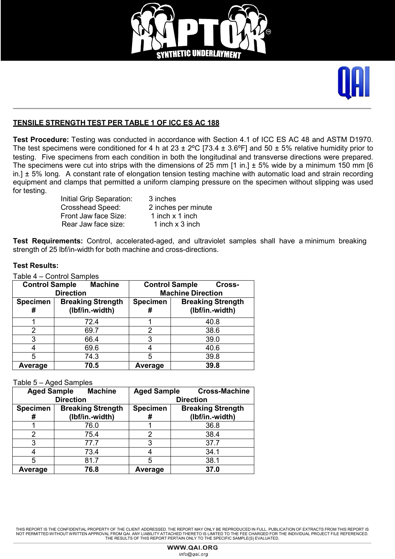



### **TENSILE STRENGTH TEST PER TABLE 1 OF ICC ES AC 188**

**Test Procedure:** Testing was conducted in accordance with Section 4.1 of ICC ES AC 48 and ASTM D1970. The test specimens were conditioned for 4 h at 23  $\pm$  2°C [73.4  $\pm$  3.6°F] and 50  $\pm$  5% relative humidity prior to testing. Five specimens from each condition in both the longitudinal and transverse directions were prepared. The specimens were cut into strips with the dimensions of  $25$  mm  $11$  in. $1 \pm 5$ % wide by a minimum 150 mm  $16$  $in.$ ]  $\pm$  5% long. A constant rate of elongation tension testing machine with automatic load and strain recording equipment and clamps that permitted a uniform clamping pressure on the specimen without slipping was used for testing.

> Initial Grip Separation: 3 inches<br>Crosshead Speed: 2 inches Front Jaw face Size: 1 inch x 1 inch<br>Rear Jaw face size: 1 inch x 3 inch Rear Jaw face size:

2 inches per minute

**Test Requirements:** Control, accelerated-aged, and ultraviolet samples shall have a minimum breaking strength of 25 lbf/in-width for both machine and cross-directions.

### **Test Results:**

Table 4 – Control Samples

| <b>Machine</b><br><b>Control Sample</b><br><b>Direction</b> |                                             | <b>Control Sample</b><br>Cross-<br><b>Machine Direction</b> |                                             |
|-------------------------------------------------------------|---------------------------------------------|-------------------------------------------------------------|---------------------------------------------|
| <b>Specimen</b><br>#                                        | <b>Breaking Strength</b><br>(lbf/in.-width) | <b>Specimen</b><br>#                                        | <b>Breaking Strength</b><br>(lbf/in.-width) |
|                                                             | 72.4                                        |                                                             | 40.8                                        |
| 2                                                           | 69.7                                        | 2                                                           | 38.6                                        |
| 3                                                           | 66.4                                        | 3                                                           | 39.0                                        |
| 4                                                           | 69.6                                        |                                                             | 40.6                                        |
| 5                                                           | 74.3                                        | 5                                                           | 39.8                                        |
| Average                                                     | 70.5                                        | Average                                                     | 39.8                                        |

Table 5 – Aged Samples

| <b>Aged Sample</b>   | <b>Machine</b>                              | <b>Aged Sample</b>   | <b>Cross-Machine</b>                        |  |  |
|----------------------|---------------------------------------------|----------------------|---------------------------------------------|--|--|
| <b>Direction</b>     |                                             |                      | <b>Direction</b>                            |  |  |
| <b>Specimen</b><br># | <b>Breaking Strength</b><br>(Ibf/in.-width) | <b>Specimen</b><br># | <b>Breaking Strength</b><br>(Ibf/in.-width) |  |  |
|                      | 76.0                                        |                      | 36.8                                        |  |  |
| 2                    | 75.4                                        | າ                    | 38.4                                        |  |  |
| 3                    | 77.7                                        | 3                    | 37.7                                        |  |  |
| 4                    | 73.4                                        |                      | 34.1                                        |  |  |
| 5                    | 81.7                                        | 5                    | 38.1                                        |  |  |
| Average              | 76.8                                        | Average              | 37.0                                        |  |  |

THIS REPORT IS THE CONFIDENTIAL PROPERTY OF THE CLIENT ADDRESSED. THE REPORT MAY ONLY BE REPRODUCED IN FULL. PUBLICATION OF EXTRACTS FROM THIS REPORT IS NOT PERMITTED WITHOUT WRITTEN APPROVAL FROM QAI. ANY LIABILITY ATTACHED THERETO IS LIMITED TO THE FEE CHARGED FOR THE INDIVIDUAL PROJECT FILE REFERENCED. THE RESULTS OF THIS REPORT PERTAIN ONLY TO THE SPECIFIC SAMPLE(S) EVALUATED.